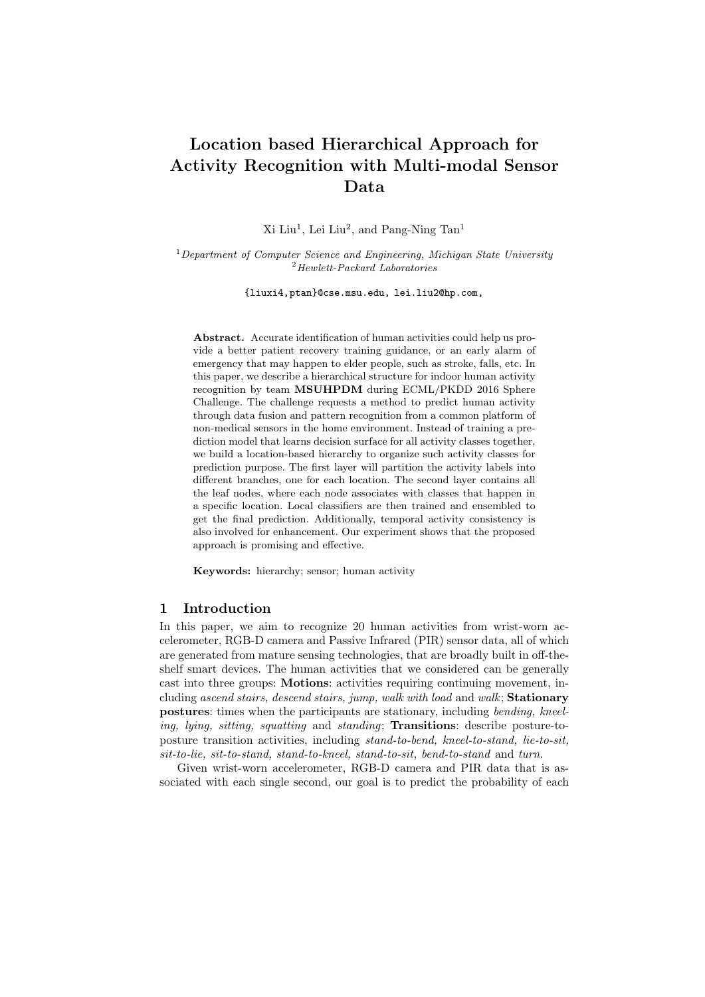# Location based Hierarchical Approach for Activity Recognition with Multi-modal Sensor Data

 $Xi$  Liu<sup>1</sup>, Lei Liu<sup>2</sup>, and Pang-Ning Tan<sup>1</sup>

 $1$  Department of Computer Science and Engineering, Michigan State University <sup>2</sup>Hewlett-Packard Laboratories

{liuxi4,ptan}@cse.msu.edu, lei.liu2@hp.com,

Abstract. Accurate identification of human activities could help us provide a better patient recovery training guidance, or an early alarm of emergency that may happen to elder people, such as stroke, falls, etc. In this paper, we describe a hierarchical structure for indoor human activity recognition by team MSUHPDM during ECML/PKDD 2016 Sphere Challenge. The challenge requests a method to predict human activity through data fusion and pattern recognition from a common platform of non-medical sensors in the home environment. Instead of training a prediction model that learns decision surface for all activity classes together, we build a location-based hierarchy to organize such activity classes for prediction purpose. The first layer will partition the activity labels into different branches, one for each location. The second layer contains all the leaf nodes, where each node associates with classes that happen in a specific location. Local classifiers are then trained and ensembled to get the final prediction. Additionally, temporal activity consistency is also involved for enhancement. Our experiment shows that the proposed approach is promising and effective.

Keywords: hierarchy; sensor; human activity

## 1 Introduction

In this paper, we aim to recognize 20 human activities from wrist-worn accelerometer, RGB-D camera and Passive Infrared (PIR) sensor data, all of which are generated from mature sensing technologies, that are broadly built in off-theshelf smart devices. The human activities that we considered can be generally cast into three groups: Motions: activities requiring continuing movement, including ascend stairs, descend stairs, jump, walk with load and walk; Stationary postures: times when the participants are stationary, including bending, kneeling, lying, sitting, squatting and standing; Transitions: describe posture-toposture transition activities, including stand-to-bend, kneel-to-stand, lie-to-sit, sit-to-lie, sit-to-stand, stand-to-kneel, stand-to-sit, bend-to-stand and turn.

Given wrist-worn accelerometer, RGB-D camera and PIR data that is associated with each single second, our goal is to predict the probability of each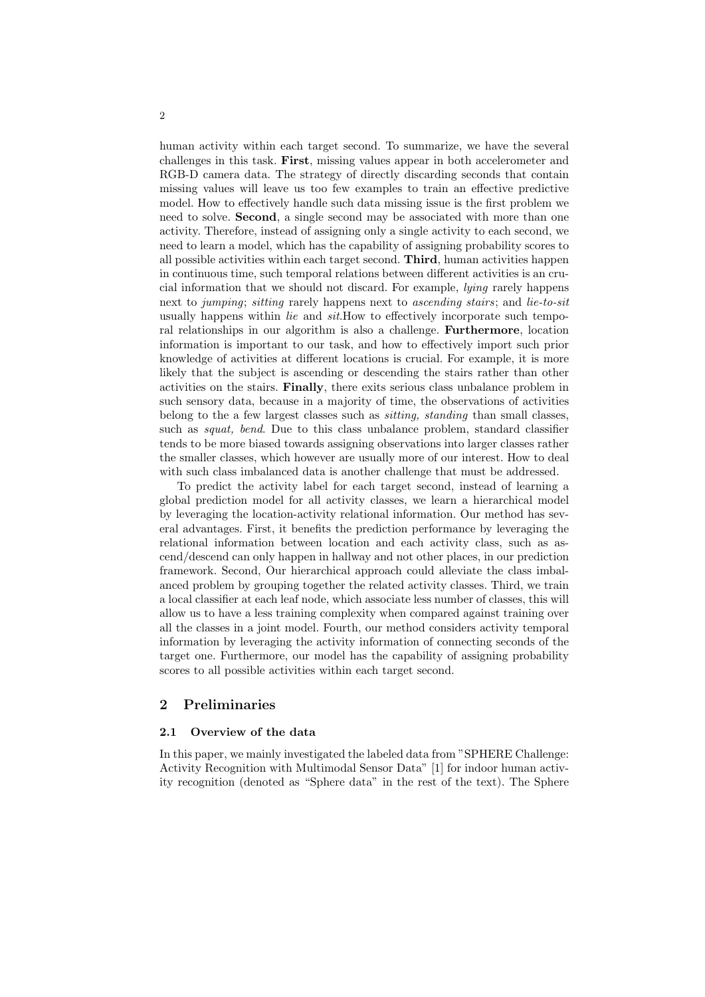human activity within each target second. To summarize, we have the several challenges in this task. First, missing values appear in both accelerometer and RGB-D camera data. The strategy of directly discarding seconds that contain missing values will leave us too few examples to train an effective predictive model. How to effectively handle such data missing issue is the first problem we need to solve. Second, a single second may be associated with more than one activity. Therefore, instead of assigning only a single activity to each second, we need to learn a model, which has the capability of assigning probability scores to all possible activities within each target second. Third, human activities happen in continuous time, such temporal relations between different activities is an crucial information that we should not discard. For example, lying rarely happens next to jumping; sitting rarely happens next to ascending stairs; and lie-to-sit usually happens within *lie* and *sit*.How to effectively incorporate such temporal relationships in our algorithm is also a challenge. Furthermore, location information is important to our task, and how to effectively import such prior knowledge of activities at different locations is crucial. For example, it is more likely that the subject is ascending or descending the stairs rather than other activities on the stairs. Finally, there exits serious class unbalance problem in such sensory data, because in a majority of time, the observations of activities belong to the a few largest classes such as sitting, standing than small classes, such as *squat*, bend. Due to this class unbalance problem, standard classifier tends to be more biased towards assigning observations into larger classes rather the smaller classes, which however are usually more of our interest. How to deal with such class imbalanced data is another challenge that must be addressed.

To predict the activity label for each target second, instead of learning a global prediction model for all activity classes, we learn a hierarchical model by leveraging the location-activity relational information. Our method has several advantages. First, it benefits the prediction performance by leveraging the relational information between location and each activity class, such as ascend/descend can only happen in hallway and not other places, in our prediction framework. Second, Our hierarchical approach could alleviate the class imbalanced problem by grouping together the related activity classes. Third, we train a local classifier at each leaf node, which associate less number of classes, this will allow us to have a less training complexity when compared against training over all the classes in a joint model. Fourth, our method considers activity temporal information by leveraging the activity information of connecting seconds of the target one. Furthermore, our model has the capability of assigning probability scores to all possible activities within each target second.

## 2 Preliminaries

## 2.1 Overview of the data

In this paper, we mainly investigated the labeled data from "SPHERE Challenge: Activity Recognition with Multimodal Sensor Data" [1] for indoor human activity recognition (denoted as "Sphere data" in the rest of the text). The Sphere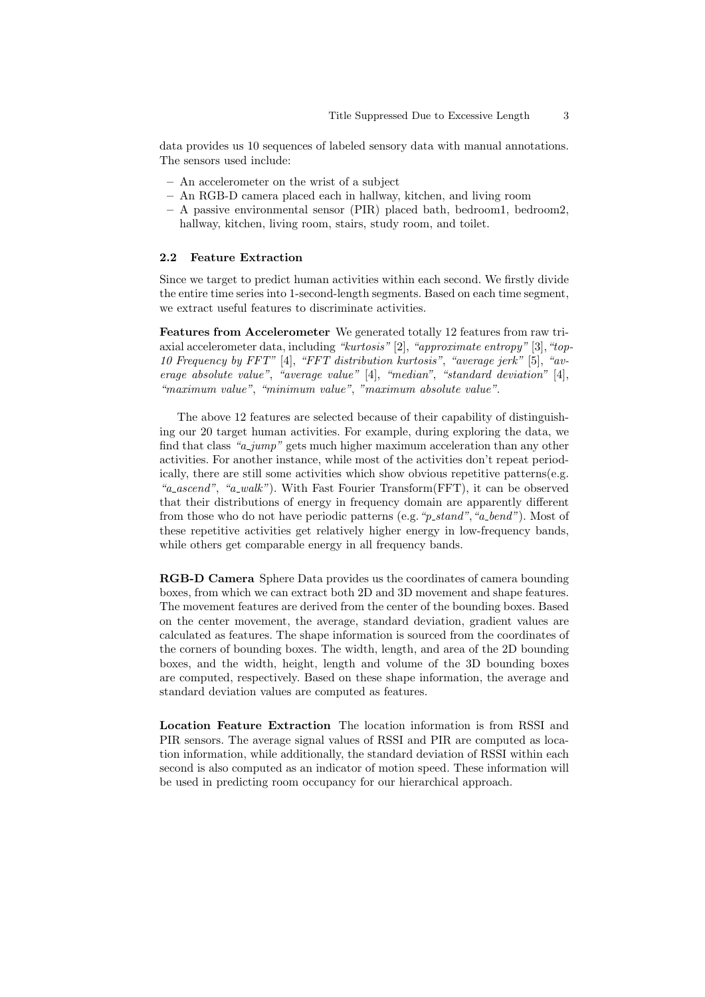data provides us 10 sequences of labeled sensory data with manual annotations. The sensors used include:

- An accelerometer on the wrist of a subject
- An RGB-D camera placed each in hallway, kitchen, and living room
- $-$  A passive environmental sensor (PIR) placed bath, bedroom1, bedroom2, hallway, kitchen, living room, stairs, study room, and toilet.

#### 2.2 Feature Extraction

Since we target to predict human activities within each second. We firstly divide the entire time series into 1-second-length segments. Based on each time segment, we extract useful features to discriminate activities.

Features from Accelerometer We generated totally 12 features from raw triaxial accelerometer data, including "kurtosis" [2], "approximate entropy" [3], "top-10 Frequency by FFT" [4], "FFT distribution kurtosis", "average jerk" [5], "average absolute value", "average value" [4], "median", "standard deviation" [4], "maximum value", "minimum value", "maximum absolute value".

The above 12 features are selected because of their capability of distinguishing our 20 target human activities. For example, during exploring the data, we find that class " $a_jump$ " gets much higher maximum acceleration than any other activities. For another instance, while most of the activities don't repeat periodically, there are still some activities which show obvious repetitive patterns(e.g. "a\_ascend", "a\_walk"). With Fast Fourier Transform(FFT), it can be observed that their distributions of energy in frequency domain are apparently different from those who do not have periodic patterns (e.g. " $p\_stand$ ", " $a\_bend$ "). Most of these repetitive activities get relatively higher energy in low-frequency bands, while others get comparable energy in all frequency bands.

RGB-D Camera Sphere Data provides us the coordinates of camera bounding boxes, from which we can extract both 2D and 3D movement and shape features. The movement features are derived from the center of the bounding boxes. Based on the center movement, the average, standard deviation, gradient values are calculated as features. The shape information is sourced from the coordinates of the corners of bounding boxes. The width, length, and area of the 2D bounding boxes, and the width, height, length and volume of the 3D bounding boxes are computed, respectively. Based on these shape information, the average and standard deviation values are computed as features.

Location Feature Extraction The location information is from RSSI and PIR sensors. The average signal values of RSSI and PIR are computed as location information, while additionally, the standard deviation of RSSI within each second is also computed as an indicator of motion speed. These information will be used in predicting room occupancy for our hierarchical approach.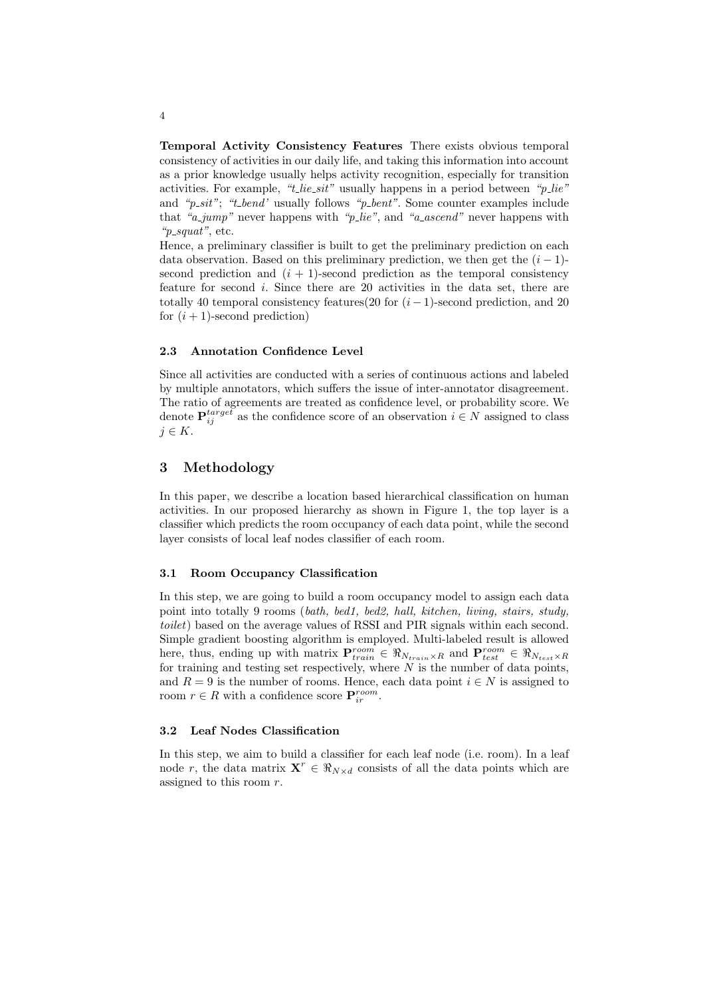Temporal Activity Consistency Features There exists obvious temporal consistency of activities in our daily life, and taking this information into account as a prior knowledge usually helps activity recognition, especially for transition activities. For example, " $t$ -lie-sit" usually happens in a period between " $p$ -lie" and " $p\_sit$ "; "t\_bend' usually follows " $p\_bent$ ". Some counter examples include that "a\_jump" never happens with "p\_lie", and "a\_ascend" never happens with " $p\_squat$ ", etc.

Hence, a preliminary classifier is built to get the preliminary prediction on each data observation. Based on this preliminary prediction, we then get the  $(i - 1)$ second prediction and  $(i + 1)$ -second prediction as the temporal consistency feature for second  $i$ . Since there are 20 activities in the data set, there are totally 40 temporal consistency features(20 for  $(i - 1)$ -second prediction, and 20 for  $(i + 1)$ -second prediction)

#### 2.3 Annotation Confidence Level

Since all activities are conducted with a series of continuous actions and labeled by multiple annotators, which suffers the issue of inter-annotator disagreement. The ratio of agreements are treated as confidence level, or probability score. We denote  $\mathbf{P}_{ij}^{target}$  as the confidence score of an observation  $i \in N$  assigned to class  $j \in K$ .

## 3 Methodology

In this paper, we describe a location based hierarchical classification on human activities. In our proposed hierarchy as shown in Figure 1, the top layer is a classifier which predicts the room occupancy of each data point, while the second layer consists of local leaf nodes classifier of each room.

#### 3.1 Room Occupancy Classification

In this step, we are going to build a room occupancy model to assign each data point into totally 9 rooms (bath, bed1, bed2, hall, kitchen, living, stairs, study, toilet) based on the average values of RSSI and PIR signals within each second. Simple gradient boosting algorithm is employed. Multi-labeled result is allowed here, thus, ending up with matrix  $\mathbf{P}_{train}^{room} \in \Re_{N_{train} \times R}$  and  $\mathbf{P}_{test}^{room} \in \Re_{N_{test} \times R}$ for training and testing set respectively, where  $N$  is the number of data points, and  $R = 9$  is the number of rooms. Hence, each data point  $i \in N$  is assigned to room  $r \in R$  with a confidence score  $\mathbf{P}_{ir}^{room}$ .

## 3.2 Leaf Nodes Classification

In this step, we aim to build a classifier for each leaf node (i.e. room). In a leaf node r, the data matrix  $X^r \in \Re_{N \times d}$  consists of all the data points which are assigned to this room  $r$ .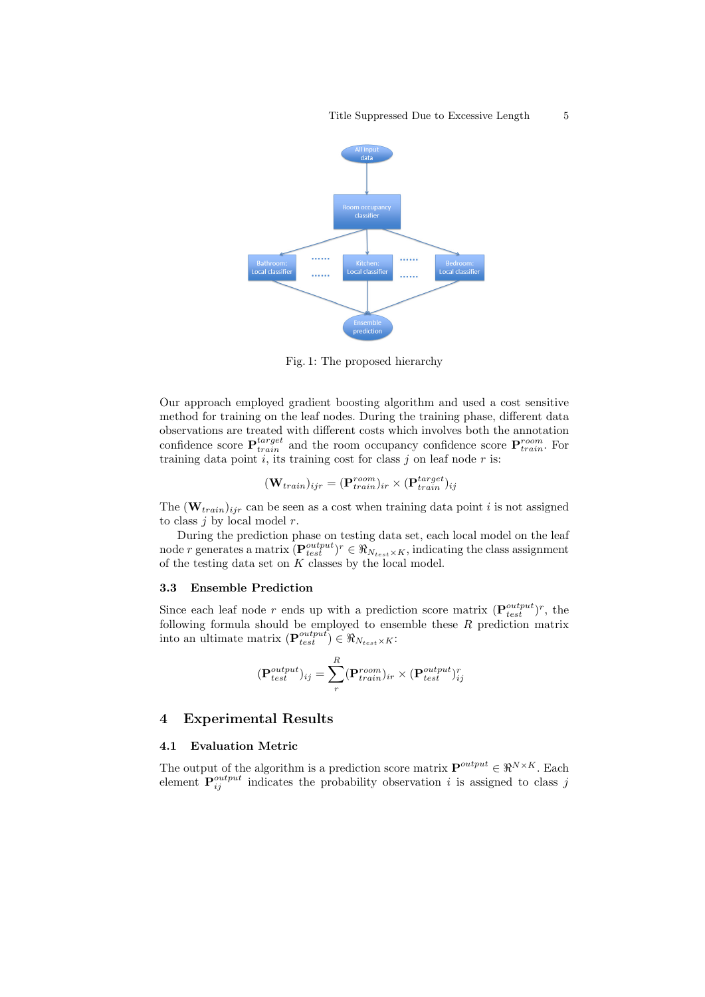

Fig. 1: The proposed hierarchy

Our approach employed gradient boosting algorithm and used a cost sensitive method for training on the leaf nodes. During the training phase, different data observations are treated with different costs which involves both the annotation confidence score  $\mathbf{P}_{train}^{target}$  and the room occupancy confidence score  $\mathbf{P}_{train}^{room}$ . For training data point  $i$ , its training cost for class  $j$  on leaf node  $r$  is:

$$
(\mathbf{W}_{train})_{ijr} = (\mathbf{P}_{train}^{room})_{ir} \times (\mathbf{P}_{train}^{target})_{ij}
$$

The  $(\mathbf{W}_{train})_{ijr}$  can be seen as a cost when training data point i is not assigned to class  $j$  by local model  $r$ .

During the prediction phase on testing data set, each local model on the leaf node r generates a matrix  $(\mathbf{P}_{test}^{output})^r \in \Re_{N_{test} \times K}$ , indicating the class assignment of the testing data set on  $K$  classes by the local model.

### 3.3 Ensemble Prediction

Since each leaf node r ends up with a prediction score matrix  $(\mathbf{P}_{test}^{output})^r$ , the following formula should be employed to ensemble these  $R$  prediction matrix into an ultimate matrix  $(\mathbf{P}_{test}^{output}) \in \Re_{N_{test} \times K}$ :

$$
(\mathbf{P}_{test}^{output})_{ij} = \sum_{r}^{R} (\mathbf{P}_{train}^{room})_{ir} \times (\mathbf{P}_{test}^{output})_{ij}^{r}
$$

## 4 Experimental Results

#### 4.1 Evaluation Metric

The output of the algorithm is a prediction score matrix  $\mathbf{P}^{output} \in \mathbb{R}^{N \times K}$ . Each element  $P_{ij}^{output}$  indicates the probability observation i is assigned to class j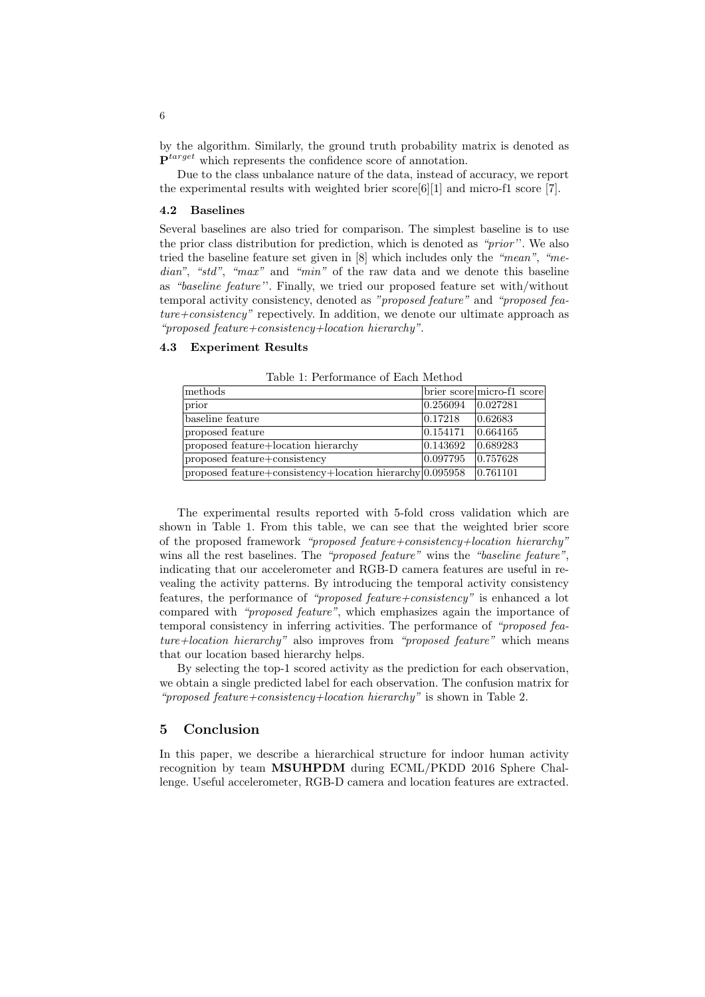by the algorithm. Similarly, the ground truth probability matrix is denoted as  $\mathbf{P}^{target}$  which represents the confidence score of annotation.

Due to the class unbalance nature of the data, instead of accuracy, we report the experimental results with weighted brier score  $[6][1]$  and micro-f1 score  $[7]$ .

#### 4.2 Baselines

Several baselines are also tried for comparison. The simplest baseline is to use the prior class distribution for prediction, which is denoted as "prior''. We also tried the baseline feature set given in [8] which includes only the "mean", "median", "std", "max" and "min" of the raw data and we denote this baseline as "baseline feature''. Finally, we tried our proposed feature set with/without temporal activity consistency, denoted as "proposed feature" and "proposed feature+consistency" repectively. In addition, we denote our ultimate approach as "proposed feature+consistency+location hierarchy".

#### 4.3 Experiment Results

| methods                                                  |          | brier score micro-f1 score |
|----------------------------------------------------------|----------|----------------------------|
| prior                                                    | 0.256094 | 0.027281                   |
| baseline feature                                         | 0.17218  | 0.62683                    |
| proposed feature                                         | 0.154171 | 0.664165                   |
| proposed feature+location hierarchy                      | 0.143692 | 0.689283                   |
| proposed feature+consistency                             | 0.097795 | 0.757628                   |
| proposed feature+consistency+location hierarchy 0.095958 |          | 0.761101                   |

Table 1: Performance of Each Method

The experimental results reported with 5-fold cross validation which are shown in Table 1. From this table, we can see that the weighted brier score of the proposed framework "proposed feature+consistency+location hierarchy" wins all the rest baselines. The "proposed feature" wins the "baseline feature", indicating that our accelerometer and RGB-D camera features are useful in revealing the activity patterns. By introducing the temporal activity consistency features, the performance of "*proposed feature+consistency*" is enhanced a lot compared with "proposed feature", which emphasizes again the importance of temporal consistency in inferring activities. The performance of "proposed feature+location hierarchy" also improves from "proposed feature" which means that our location based hierarchy helps.

By selecting the top-1 scored activity as the prediction for each observation, we obtain a single predicted label for each observation. The confusion matrix for "proposed feature+consistency+location hierarchy" is shown in Table 2.

## 5 Conclusion

In this paper, we describe a hierarchical structure for indoor human activity recognition by team MSUHPDM during ECML/PKDD 2016 Sphere Challenge. Useful accelerometer, RGB-D camera and location features are extracted.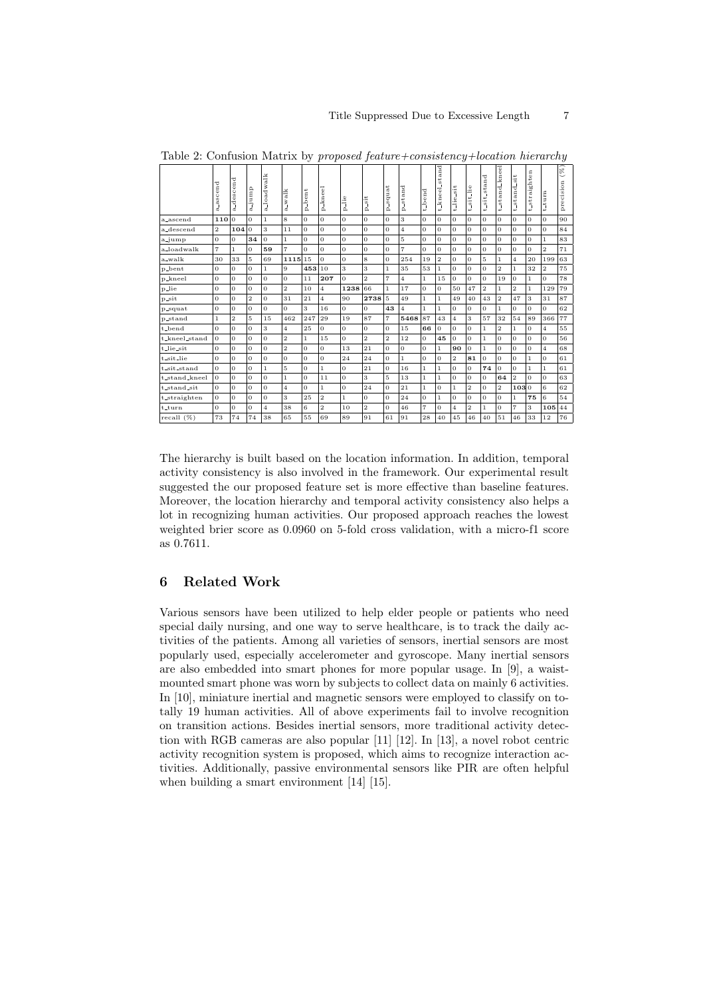|               | a_ascend       | a_descend      | quunt_a        | a_loadwalk     | a_walk         | -bent<br>Á,    | p-kneel        | $\frac{1}{1}$<br>Ä, | $-$ sit<br>ó,  | -squat<br>۵    | p_stand        | t_bend         | $t$ and<br>٩<br>t-kneel | t_lie_sit      | t_sit_lie      | stand<br>$t$ sit. | t_stand_kneel           | $-$ sit<br>$t$ -stand | t_straighten   | $t_{\rm -}t$ urn        | $(\%)$<br>д<br>precisio |
|---------------|----------------|----------------|----------------|----------------|----------------|----------------|----------------|---------------------|----------------|----------------|----------------|----------------|-------------------------|----------------|----------------|-------------------|-------------------------|-----------------------|----------------|-------------------------|-------------------------|
| a_ascend      | 110            | $\Omega$       | $\Omega$       | $\mathbf{1}$   | 8              | $\overline{0}$ | $\overline{0}$ | $\Omega$            | $\Omega$       | $\Omega$       | 3              | l O            | $\overline{0}$          | $\overline{0}$ | $\overline{0}$ | $\theta$          | $\overline{0}$          | $\Omega$              | $\Omega$       | $\overline{0}$          | 90                      |
| a_descend     | $\overline{2}$ | 104            | $\Omega$       | 3              | 11             | $\overline{0}$ | $\overline{0}$ | $\theta$            | $\Omega$       | $\overline{0}$ | $\overline{4}$ | l O            | $\sigma$                | $\overline{0}$ | $\overline{0}$ | $\sigma$          | $\overline{0}$          | $\sigma$              | $\sigma$       | $\overline{0}$          | 84                      |
| a_jump        | $\Omega$       | $\sigma$       | 34             | $\Omega$       | $\mathbf{1}$   | $\Omega$       | $\overline{0}$ | $\Omega$            | $\Omega$       | $\Omega$       | 5              | $\Omega$       | $\Omega$                | $\theta$       | $\Omega$       | $\Omega$          | $\overline{0}$          | $\Omega$              | $\Omega$       | $\mathbf{1}$            | 83                      |
| a_loadwalk    | $\overline{7}$ | $\mathbf{1}$   | $\overline{0}$ | 59             | $\overline{7}$ | 0              | $\sigma$       | $\overline{0}$      | $\overline{0}$ | $\overline{0}$ | $\overline{7}$ | $\overline{0}$ | $\sigma$                | $\theta$       | $\sigma$       | $\theta$          | $\overline{0}$          | $\theta$              | $\mathbf{0}$   | $\overline{\mathbf{2}}$ | 71                      |
| a_walk        | 30             | 33             | 5              | 69             | 1115           | 15             | $\sigma$       | $\theta$            | 8              | $\overline{0}$ | 254            | 19             | $\overline{2}$          | $\theta$       | $\sigma$       | 5                 | $\mathbf{1}$            | $\overline{4}$        | 20             | 199                     | 63                      |
| p_bent        | $\overline{0}$ | $\sigma$       | $\Omega$       | $\mathbf{1}$   | 9              | 453            | 10             | 3                   | 3              | $\mathbf{1}$   | 35             | 53             | $\mathbf{1}$            | $\overline{0}$ | $\overline{0}$ | $\Omega$          | $\overline{2}$          | $\mathbf{1}$          | 32             | $\overline{2}$          | 75                      |
| p_kneel       | $\overline{0}$ | $\sigma$       | $\sigma$       | $\theta$       | $\overline{0}$ | 11             | 207            | $\theta$            | $\overline{2}$ | $\overline{7}$ | $\overline{4}$ | $\mathbf{1}$   | 15                      | $\overline{0}$ | $\overline{0}$ | $\sigma$          | 19                      | $\sigma$              | $\mathbf{1}$   | 0                       | 78                      |
| p_lie         | $\sigma$       | $\sigma$       | $\sigma$       | $\Omega$       | $\overline{2}$ | 10             | $\overline{4}$ | 1238 66             |                | $\mathbf{1}$   | 17             | $\sigma$       | $\sigma$                | 50             | 47             | $\overline{2}$    | $\mathbf{1}$            | $\overline{2}$        | $\mathbf{1}$   | 129                     | 79                      |
| p_sit         | $\sigma$       | $\sigma$       | $\overline{2}$ | $\theta$       | 31             | 21             | $\overline{4}$ | 90                  | 2738           | $\overline{5}$ | 49             | $\mathbf{1}$   | $\mathbf{1}$            | 49             | 40             | 43                | $\overline{2}$          | 47                    | 3              | 31                      | 87                      |
| p_squat       | $\sigma$       | $\overline{0}$ | $\sigma$       | $\theta$       | $\Omega$       | 3              | 16             | $\sigma$            | $\Omega$       | 43             | $\overline{4}$ | $\mathbf{1}$   | $\mathbf{1}$            | $\theta$       | $\overline{0}$ | $\overline{0}$    | $\mathbf{1}$            | $\overline{0}$        | $\Omega$       | $\sigma$                | 62                      |
| p_stand       | $\mathbf{1}$   | $\overline{2}$ | 5              | 15             | 462            | 247            | 29             | 19                  | 87             | $\overline{7}$ | 5468           | 87             | 43                      | $\overline{4}$ | 3              | 57                | 32                      | 54                    | 89             | 366                     | 77                      |
| t_bend        | $\Omega$       | $\sigma$       | $\overline{0}$ | 3              | $\overline{4}$ | 25             | $\overline{0}$ | $\sigma$            | $\theta$       | $\Omega$       | 15             | 66             | $\overline{0}$          | $\theta$       | $\overline{0}$ | $\mathbf{1}$      | $\overline{2}$          | $\mathbf{1}$          | $\Omega$       | $\overline{4}$          | 55                      |
| t_kneel_stand | $\overline{0}$ | $\sigma$       | $\overline{0}$ | $\theta$       | $\overline{2}$ | $\mathbf{1}$   | 15             | $\sigma$            | $\overline{2}$ | $\overline{2}$ | 12             | l O            | 45                      | $\overline{0}$ | $\overline{0}$ | $\mathbf{1}$      | $\overline{0}$          | $\theta$              | $\sigma$       | $\sigma$                | 56                      |
| t_lie_sit     | $\overline{0}$ | $\sigma$       | $\overline{0}$ | $\theta$       | $\overline{2}$ | $\overline{0}$ | $\sigma$       | 13                  | 21             | $\sigma$       | $\mathbf 0$    | $\overline{0}$ | $\mathbf{1}$            | 90             | $\sigma$       | $\mathbf{1}$      | 0                       | $\theta$              | $\overline{0}$ | $\overline{4}$          | 68                      |
| t_sit_lie     | $\overline{0}$ | $\sigma$       | $\overline{0}$ | $\theta$       | $\sigma$       | $\overline{0}$ | $\overline{0}$ | 24                  | 24             | $\Omega$       | $\mathbf{1}$   | $\overline{0}$ | $\Omega$                | $\overline{2}$ | 81             | $\Omega$          | 0                       | $\theta$              | $\mathbf{1}$   | 0                       | 61                      |
| t_sit_stand   | $\Omega$       | $\Omega$       | $\Omega$       | $\mathbf{1}$   | 5              | $\Omega$       | $\mathbf{1}$   | $\theta$            | 21             | $\Omega$       | 16             | $\mathbf{1}$   | $\mathbf{1}$            | $\overline{0}$ | $\overline{0}$ | 74                | $\overline{O}$          | $\Omega$              | $\mathbf{1}$   | $\mathbf{1}$            | 61                      |
| t_stand_kneel | $\overline{0}$ | $\Omega$       | $\sigma$       | $\Omega$       | $\mathbf{1}$   | $\sigma$       | 11             | $\theta$            | 3              | 5              | 13             | $\mathbf{1}$   | $\mathbf{1}$            | $\Omega$       | $\Omega$       | $\overline{0}$    | 64                      | $\overline{2}$        | $\Omega$       | $\overline{0}$          | 63                      |
| t_stand_sit   | $\overline{O}$ | $\sigma$       | $\overline{0}$ | $\theta$       | $\overline{4}$ | $\overline{0}$ | $\mathbf{1}$   | $\theta$            | 24             | $\Omega$       | 21             | $\mathbf{1}$   | $\sigma$                | $\mathbf{1}$   | $\overline{2}$ | $\sigma$          | $\overline{\mathbf{2}}$ | 1030                  |                | 6                       | 62                      |
| t_straighten  | $\overline{O}$ | $\sigma$       | $\sigma$       | $\theta$       | 3              | 25             | $\,2$          | $\mathbf{1}$        | $\theta$       | $\Omega$       | 24             | $\overline{0}$ | $\mathbf{1}$            | $\overline{0}$ | $\overline{0}$ | $\sigma$          | $\overline{0}$          | $\mathbf{1}$          | 75             | 6                       | 54                      |
| $t_{turn}$    | $\overline{0}$ | $\sigma$       | $\sigma$       | $\overline{4}$ | 38             | 6              | $\overline{2}$ | 10                  | $\overline{2}$ | $\Omega$       | 46             | $\overline{7}$ | $\sigma$                | $\overline{4}$ | $\overline{2}$ | $\mathbf{1}$      | $\overline{0}$          | $\overline{7}$        | 3              | 105                     | 44                      |
| recall $(\%)$ | 73             | 74             | 74             | 38             | 65             | 55             | 69             | 89                  | 91             | 61             | 91             | 28             | 40                      | 45             | 46             | 40                | 51                      | 46                    | 33             | 12                      | 76                      |

Table 2: Confusion Matrix by proposed feature+consistency+location hierarchy

The hierarchy is built based on the location information. In addition, temporal activity consistency is also involved in the framework. Our experimental result suggested the our proposed feature set is more effective than baseline features. Moreover, the location hierarchy and temporal activity consistency also helps a lot in recognizing human activities. Our proposed approach reaches the lowest weighted brier score as 0.0960 on 5-fold cross validation, with a micro-f1 score as 0.7611.

## 6 Related Work

Various sensors have been utilized to help elder people or patients who need special daily nursing, and one way to serve healthcare, is to track the daily activities of the patients. Among all varieties of sensors, inertial sensors are most popularly used, especially accelerometer and gyroscope. Many inertial sensors are also embedded into smart phones for more popular usage. In [9], a waistmounted smart phone was worn by subjects to collect data on mainly 6 activities. In [10], miniature inertial and magnetic sensors were employed to classify on totally 19 human activities. All of above experiments fail to involve recognition on transition actions. Besides inertial sensors, more traditional activity detection with RGB cameras are also popular [11] [12]. In [13], a novel robot centric activity recognition system is proposed, which aims to recognize interaction activities. Additionally, passive environmental sensors like PIR are often helpful when building a smart environment [14] [15].